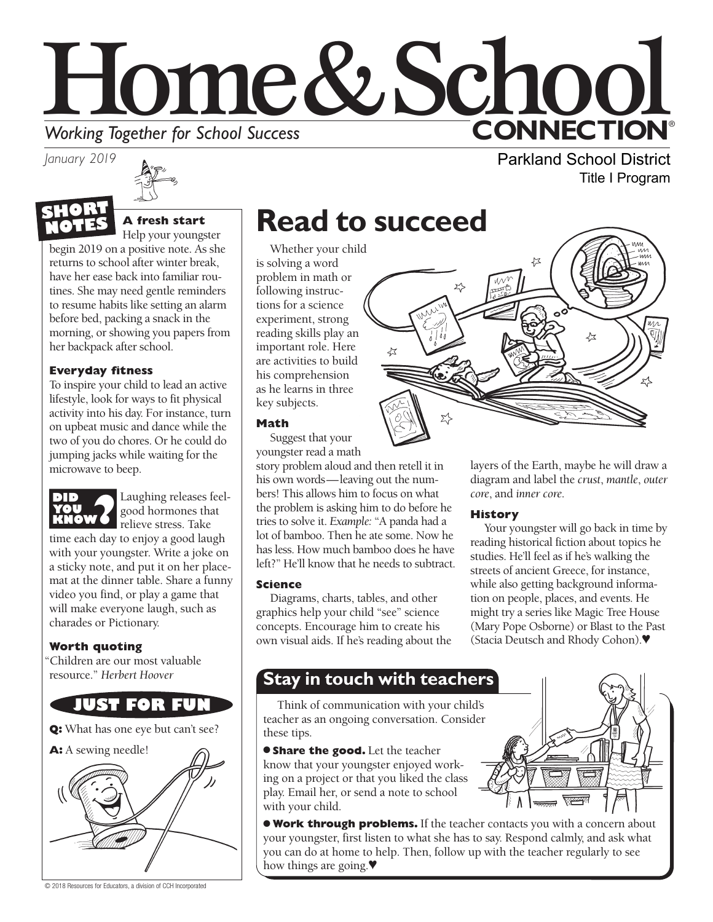# Home&School **CONNECTION® Working Together for School Success**

*January 2019*



#### **A fresh start** Help your youngster

begin 2019 on a positive note. As she returns to school after winter break, have her ease back into familiar routines. She may need gentle reminders to resume habits like setting an alarm before bed, packing a snack in the morning, or showing you papers from her backpack after school.

#### **Everyday fitness**

To inspire your child to lead an active lifestyle, look for ways to fit physical activity into his day. For instance, turn on upbeat music and dance while the two of you do chores. Or he could do jumping jacks while waiting for the microwave to beep.



Laughing releases feelgood hormones that relieve stress. Take

time each day to enjoy a good laugh with your youngster. Write a joke on a sticky note, and put it on her placemat at the dinner table. Share a funny video you find, or play a game that will make everyone laugh, such as charades or Pictionary.

#### **Worth quoting**

"Children are our most valuable resource." *Herbert Hoover*

### **JUST FOR FUN**

**Q:** What has one eye but can't see?



© 2018 Resources for Educators, a division of CCH Incorporated

# **Read to succeed**

Whether your child is solving a word problem in math or following instructions for a science experiment, strong reading skills play an important role. Here are activities to build his comprehension as he learns in three key subjects.

#### **Math**

Suggest that your youngster read a math

story problem aloud and then retell it in his own words—leaving out the numbers! This allows him to focus on what the problem is asking him to do before he tries to solve it. *Example:* "A panda had a lot of bamboo. Then he ate some. Now he has less. How much bamboo does he have left?" He'll know that he needs to subtract.

#### **Science**

Diagrams, charts, tables, and other graphics help your child "see" science concepts. Encourage him to create his own visual aids. If he's reading about the

Parkland School District

Title I Program

layers of the Earth, maybe he will draw a diagram and label the *crust*, *mantle*, *outer core*, and *inner core*.

#### **History**

Your youngster will go back in time by reading historical fiction about topics he studies. He'll feel as if he's walking the streets of ancient Greece, for instance, while also getting background information on people, places, and events. He might try a series like Magic Tree House (Mary Pope Osborne) or Blast to the Past (Stacia Deutsch and Rhody Cohon).♥

### **Stay in touch with teachers**

Think of communication with your child's teacher as an ongoing conversation. Consider these tips.

**Share the good.** Let the teacher know that your youngster enjoyed working on a project or that you liked the class play. Email her, or send a note to school with your child.

● **Work through problems.** If the teacher contacts you with a concern about your youngster, first listen to what she has to say. Respond calmly, and ask what you can do at home to help. Then, follow up with the teacher regularly to see how things are going.♥